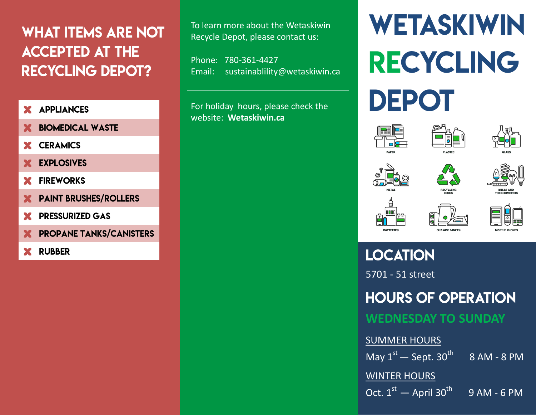# **WHAT ITEMS ARE NOT ACCEPTED AT THE RECYCLING DEPOT?**

- **APPLIANCES x**
- **x BIOMEDICAL WASTE**
- **x CERAMICS**
- **x EXPLOSIVES**
- **FIREWORKS x**
- **x PAINT BRUSHES/ROLLERS**
- **x PRESSURIZED GAS**
- **x PROPANE TANKS/CANISTERS**
- **RUBBER x**

To learn more about the Wetaskiwin Recycle Depot, please contact us:

Phone: 780-361-4427 Email: [sustainablility@wetaskiwin.ca](mailto:sustainablility@wetaskiwin.ca)

For holiday hours, please check the website: **Wetaskiwin.ca** 

# WETASKIWIN **RECYCLING** DEPOT















**LOCATION** 5701 - 51 street

**HOURS OF OPERATION** 

**WEDNESDAY TO SUNDAY**

#### SUMMER HOURS

May  $1^{st}$  — Sept. 30<sup>th</sup> 8 AM - 8 PM

WINTER HOURS

Oct.  $1<sup>st</sup>$  — April 30<sup>th</sup> 9 AM - 6 PM